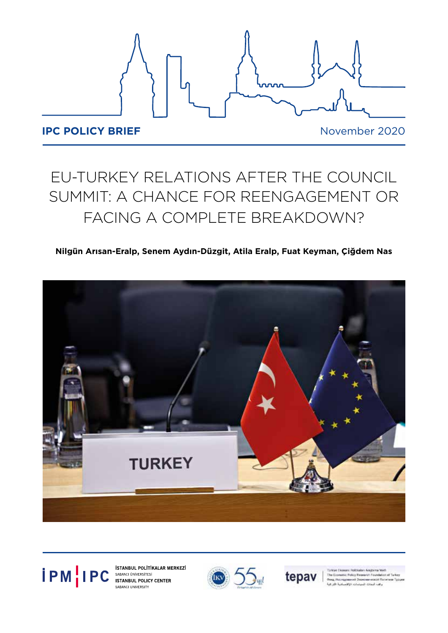

# EU-TURKEY RELATIONS AFTER THE COUNCIL SUMMIT: A CHANCE FOR REENGAGEMENT OR FACING A COMPLETE BREAKDOWN?

# **Nilgün Arısan-Eralp, Senem Aydın-Düzgit, Atila Eralp, Fuat Keyman, Çiğdem Nas**





SABANCI UNIVERSITY





The Economic Policy Research Found anek Supe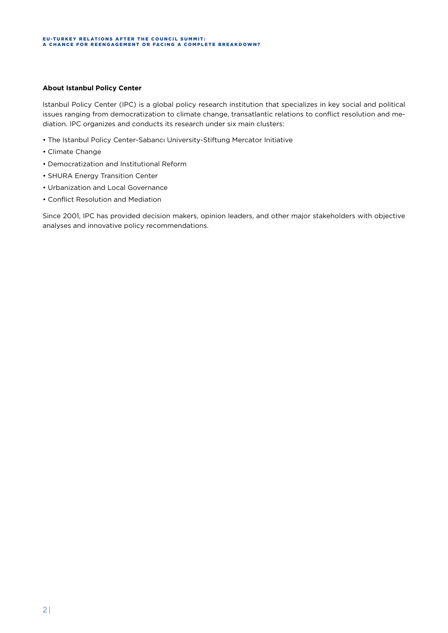#### **About Istanbul Policy Center**

Istanbul Policy Center (IPC) is a global policy research institution that specializes in key social and political issues ranging from democratization to climate change, transatlantic relations to conflict resolution and mediation. IPC organizes and conducts its research under six main clusters:

- The Istanbul Policy Center-Sabancı University-Stiftung Mercator Initiative
- Climate Change
- Democratization and Institutional Reform
- SHURA Energy Transition Center
- Urbanization and Local Governance
- Conflict Resolution and Mediation

Since 2001, IPC has provided decision makers, opinion leaders, and other major stakeholders with objective analyses and innovative policy recommendations.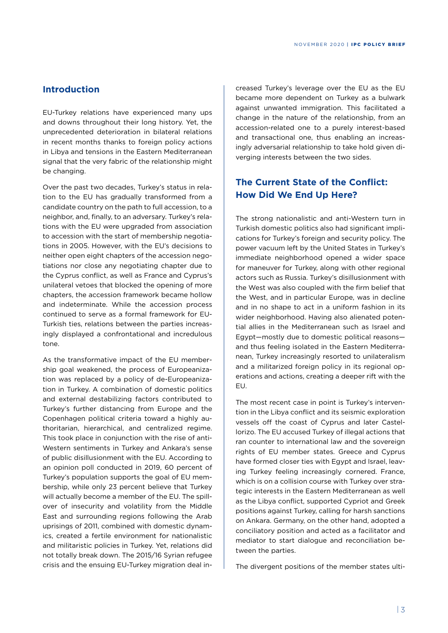## **Introduction**

EU-Turkey relations have experienced many ups and downs throughout their long history. Yet, the unprecedented deterioration in bilateral relations in recent months thanks to foreign policy actions in Libya and tensions in the Eastern Mediterranean signal that the very fabric of the relationship might be changing.

Over the past two decades, Turkey's status in relation to the EU has gradually transformed from a candidate country on the path to full accession, to a neighbor, and, finally, to an adversary. Turkey's relations with the EU were upgraded from association to accession with the start of membership negotiations in 2005. However, with the EU's decisions to neither open eight chapters of the accession negotiations nor close any negotiating chapter due to the Cyprus conflict, as well as France and Cyprus's unilateral vetoes that blocked the opening of more chapters, the accession framework became hollow and indeterminate. While the accession process continued to serve as a formal framework for EU-Turkish ties, relations between the parties increasingly displayed a confrontational and incredulous tone.

As the transformative impact of the EU membership goal weakened, the process of Europeanization was replaced by a policy of de-Europeanization in Turkey. A combination of domestic politics and external destabilizing factors contributed to Turkey's further distancing from Europe and the Copenhagen political criteria toward a highly authoritarian, hierarchical, and centralized regime. This took place in conjunction with the rise of anti-Western sentiments in Turkey and Ankara's sense of public disillusionment with the EU. According to an opinion poll conducted in 2019, 60 percent of Turkey's population supports the goal of EU membership, while only 23 percent believe that Turkey will actually become a member of the EU. The spillover of insecurity and volatility from the Middle East and surrounding regions following the Arab uprisings of 2011, combined with domestic dynamics, created a fertile environment for nationalistic and militaristic policies in Turkey. Yet, relations did not totally break down. The 2015/16 Syrian refugee crisis and the ensuing EU-Turkey migration deal in-

creased Turkey's leverage over the EU as the EU became more dependent on Turkey as a bulwark against unwanted immigration. This facilitated a change in the nature of the relationship, from an accession-related one to a purely interest-based and transactional one, thus enabling an increasingly adversarial relationship to take hold given diverging interests between the two sides.

# **The Current State of the Conflict: How Did We End Up Here?**

The strong nationalistic and anti-Western turn in Turkish domestic politics also had significant implications for Turkey's foreign and security policy. The power vacuum left by the United States in Turkey's immediate neighborhood opened a wider space for maneuver for Turkey, along with other regional actors such as Russia. Turkey's disillusionment with the West was also coupled with the firm belief that the West, and in particular Europe, was in decline and in no shape to act in a uniform fashion in its wider neighborhood. Having also alienated potential allies in the Mediterranean such as Israel and Egypt—mostly due to domestic political reasons and thus feeling isolated in the Eastern Mediterranean, Turkey increasingly resorted to unilateralism and a militarized foreign policy in its regional operations and actions, creating a deeper rift with the EU.

The most recent case in point is Turkey's intervention in the Libya conflict and its seismic exploration vessels off the coast of Cyprus and later Castellorizo. The EU accused Turkey of illegal actions that ran counter to international law and the sovereign rights of EU member states. Greece and Cyprus have formed closer ties with Egypt and Israel, leaving Turkey feeling increasingly cornered. France, which is on a collision course with Turkey over strategic interests in the Eastern Mediterranean as well as the Libya conflict, supported Cypriot and Greek positions against Turkey, calling for harsh sanctions on Ankara. Germany, on the other hand, adopted a conciliatory position and acted as a facilitator and mediator to start dialogue and reconciliation between the parties.

The divergent positions of the member states ulti-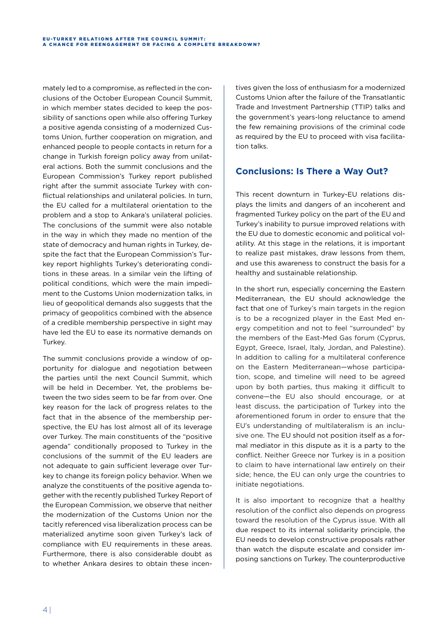mately led to a compromise, as reflected in the conclusions of the October European Council Summit, in which member states decided to keep the possibility of sanctions open while also offering Turkey a positive agenda consisting of a modernized Customs Union, further cooperation on migration, and enhanced people to people contacts in return for a change in Turkish foreign policy away from unilateral actions. Both the summit conclusions and the European Commission's Turkey report published right after the summit associate Turkey with conflictual relationships and unilateral policies. In turn, the EU called for a multilateral orientation to the problem and a stop to Ankara's unilateral policies. The conclusions of the summit were also notable in the way in which they made no mention of the state of democracy and human rights in Turkey, despite the fact that the European Commission's Turkey report highlights Turkey's deteriorating conditions in these areas. In a similar vein the lifting of political conditions, which were the main impediment to the Customs Union modernization talks, in lieu of geopolitical demands also suggests that the primacy of geopolitics combined with the absence of a credible membership perspective in sight may have led the EU to ease its normative demands on Turkey.

The summit conclusions provide a window of opportunity for dialogue and negotiation between the parties until the next Council Summit, which will be held in December. Yet, the problems between the two sides seem to be far from over. One key reason for the lack of progress relates to the fact that in the absence of the membership perspective, the EU has lost almost all of its leverage over Turkey. The main constituents of the "positive agenda" conditionally proposed to Turkey in the conclusions of the summit of the EU leaders are not adequate to gain sufficient leverage over Turkey to change its foreign policy behavior. When we analyze the constituents of the positive agenda together with the recently published Turkey Report of the European Commission, we observe that neither the modernization of the Customs Union nor the tacitly referenced visa liberalization process can be materialized anytime soon given Turkey's lack of compliance with EU requirements in these areas. Furthermore, there is also considerable doubt as to whether Ankara desires to obtain these incen-

tives given the loss of enthusiasm for a modernized Customs Union after the failure of the Transatlantic Trade and Investment Partnership (TTIP) talks and the government's years-long reluctance to amend the few remaining provisions of the criminal code as required by the EU to proceed with visa facilitation talks.

# **Conclusions: Is There a Way Out?**

This recent downturn in Turkey-EU relations displays the limits and dangers of an incoherent and fragmented Turkey policy on the part of the EU and Turkey's inability to pursue improved relations with the EU due to domestic economic and political volatility. At this stage in the relations, it is important to realize past mistakes, draw lessons from them, and use this awareness to construct the basis for a healthy and sustainable relationship.

In the short run, especially concerning the Eastern Mediterranean, the EU should acknowledge the fact that one of Turkey's main targets in the region is to be a recognized player in the East Med energy competition and not to feel "surrounded" by the members of the East-Med Gas forum (Cyprus, Egypt, Greece, Israel, Italy, Jordan, and Palestine). In addition to calling for a multilateral conference on the Eastern Mediterranean—whose participation, scope, and timeline will need to be agreed upon by both parties, thus making it difficult to convene—the EU also should encourage, or at least discuss, the participation of Turkey into the aforementioned forum in order to ensure that the EU's understanding of multilateralism is an inclusive one. The EU should not position itself as a formal mediator in this dispute as it is a party to the conflict. Neither Greece nor Turkey is in a position to claim to have international law entirely on their side; hence, the EU can only urge the countries to initiate negotiations.

It is also important to recognize that a healthy resolution of the conflict also depends on progress toward the resolution of the Cyprus issue. With all due respect to its internal solidarity principle, the EU needs to develop constructive proposals rather than watch the dispute escalate and consider imposing sanctions on Turkey. The counterproductive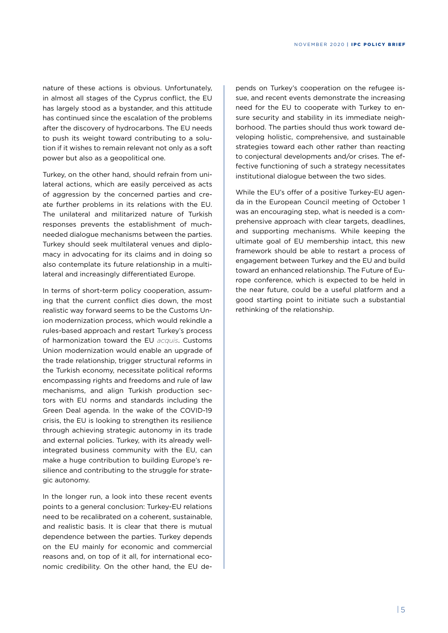nature of these actions is obvious. Unfortunately, in almost all stages of the Cyprus conflict, the EU has largely stood as a bystander, and this attitude has continued since the escalation of the problems after the discovery of hydrocarbons. The EU needs to push its weight toward contributing to a solution if it wishes to remain relevant not only as a soft power but also as a geopolitical one.

Turkey, on the other hand, should refrain from unilateral actions, which are easily perceived as acts of aggression by the concerned parties and create further problems in its relations with the EU. The unilateral and militarized nature of Turkish responses prevents the establishment of muchneeded dialogue mechanisms between the parties. Turkey should seek multilateral venues and diplomacy in advocating for its claims and in doing so also contemplate its future relationship in a multilateral and increasingly differentiated Europe.

In terms of short-term policy cooperation, assuming that the current conflict dies down, the most realistic way forward seems to be the Customs Union modernization process, which would rekindle a rules-based approach and restart Turkey's process of harmonization toward the EU *acquis*. Customs Union modernization would enable an upgrade of the trade relationship, trigger structural reforms in the Turkish economy, necessitate political reforms encompassing rights and freedoms and rule of law mechanisms, and align Turkish production sectors with EU norms and standards including the Green Deal agenda. In the wake of the COVID-19 crisis, the EU is looking to strengthen its resilience through achieving strategic autonomy in its trade and external policies. Turkey, with its already wellintegrated business community with the EU, can make a huge contribution to building Europe's resilience and contributing to the struggle for strategic autonomy.

In the longer run, a look into these recent events points to a general conclusion: Turkey-EU relations need to be recalibrated on a coherent, sustainable, and realistic basis. It is clear that there is mutual dependence between the parties. Turkey depends on the EU mainly for economic and commercial reasons and, on top of it all, for international economic credibility. On the other hand, the EU de-

pends on Turkey's cooperation on the refugee issue, and recent events demonstrate the increasing need for the EU to cooperate with Turkey to ensure security and stability in its immediate neighborhood. The parties should thus work toward developing holistic, comprehensive, and sustainable strategies toward each other rather than reacting to conjectural developments and/or crises. The effective functioning of such a strategy necessitates institutional dialogue between the two sides.

While the EU's offer of a positive Turkey-EU agenda in the European Council meeting of October 1 was an encouraging step, what is needed is a comprehensive approach with clear targets, deadlines, and supporting mechanisms. While keeping the ultimate goal of EU membership intact, this new framework should be able to restart a process of engagement between Turkey and the EU and build toward an enhanced relationship. The Future of Europe conference, which is expected to be held in the near future, could be a useful platform and a good starting point to initiate such a substantial rethinking of the relationship.